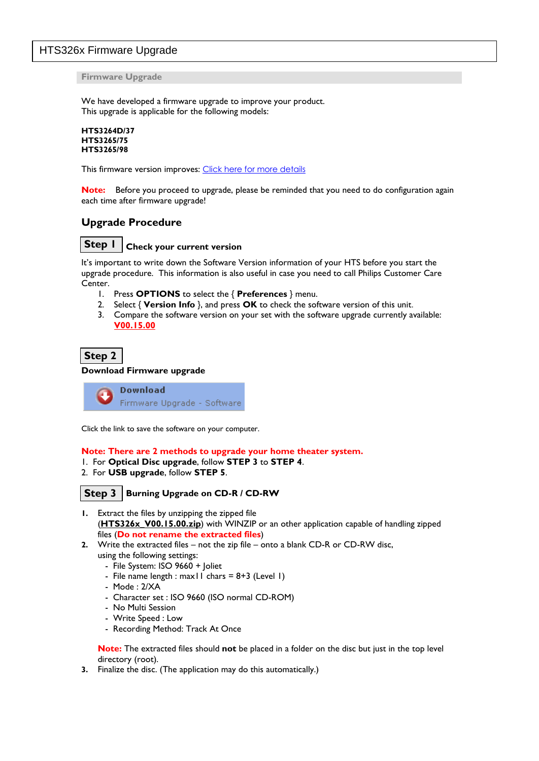# HTS326x Firmware Upgrade

**Firmware Upgrade**

We have developed a firmware upgrade to improve your product. This upgrade is applicable for the following models:

```
HTS3264D/37
HTS3265/75
HTS3265/98
```
This firmware version improves: [Click here for more details](#page-1-0)

**Note:** Before you proceed to upgrade, please be reminded that you need to do configuration again each time after firmware upgrade!

# **Upgrade Procedure**

**Check your current version Step 1**

It's important to write down the Software Version information of your HTS before you start the upgrade procedure. This information is also useful in case you need to call Philips Customer Care Center.

- 1. Press **OPTIONS** to select the { **Preferences** } menu.
- 2. Select { **Version Info** }, and press **OK** to check the software version of this unit.
- 3. Compare the software version on your set with the software upgrade currently available: **V00.15.00**

**Step 2**

### **Download Firmware upgrade**

**Download** Firmware Upgrade - Software

Click the link to save the software on your computer.

### **Note: There are 2 methods to upgrade your home theater system.**

- 1. For **Optical Disc upgrade**, follow **STEP 3** to **STEP 4**.
- 2. For **USB upgrade**, follow **STEP 5**.

#### **Burning Upgrade on CD-R / CD-RW Step 3**

- **1.** Extract the files by unzipping the zipped file (**HTS326x\_V00.15.00.zip**) with WINZIP or an other application capable of handling zipped files (**Do not rename the extracted files**)
- **2.** Write the extracted files not the zip file onto a blank CD-R or CD-RW disc, using the following settings:
	- File System: ISO 9660 + Joliet
	- File name length : max11 chars =  $8+3$  (Level 1)
	- Mode : 2/XA
	- Character set : ISO 9660 (ISO normal CD-ROM)
	- No Multi Session
	- Write Speed : Low
	- Recording Method: Track At Once

**Note:** The extracted files should **not** be placed in a folder on the disc but just in the top level directory (root).

**3.** Finalize the disc. (The application may do this automatically.)